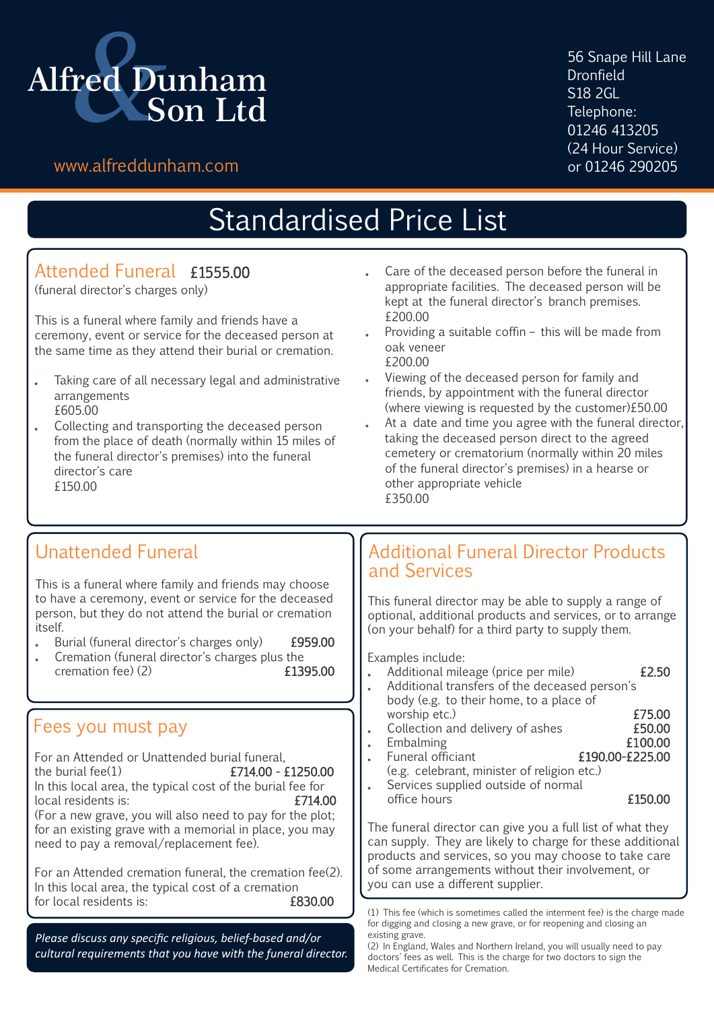

56 Snape Hill Lane Dronfield S18 2GL Telephone: 01246 413205 (24 Hour Service)<br>or 01246 290205

### www.alfreddunham.com

# Standardised Price List

### Attended Funeral £1555.00

(funeral director's charges only)

This is a funeral where family and friends have a ceremony, event or service for the deceased person at the same time as they attend their burial or cremation.

- Taking care of all necessary legal and administrative arrangements £605.00
- Collecting and transporting the deceased person from the place of death (normally within 15 miles of the funeral director's premises) into the funeral director's care £150.00
- Care of the deceased person before the funeral in appropriate facilities. The deceased person will be kept at the funeral director's branch premises. £200.00
- Providing a suitable coffin this will be made from oak veneer £200.00
- Viewing of the deceased person for family and friends, by appointment with the funeral director (where viewing is requested by the customer)£50.00
- At a date and time you agree with the funeral director, taking the deceased person direct to the agreed cemetery or crematorium (normally within 20 miles of the funeral director's premises) in a hearse or other appropriate vehicle £350.00

## Unattended Funeral

This is a funeral where family and friends may choose to have a ceremony, event or service for the deceased person, but they do not attend the burial or cremation itself.

- Burial (funeral director's charges only) £959.00
- Cremation (funeral director's charges plus the cremation fee)  $(2)$  £1395.00  $c$  remation  $fee$  $(2)$

### Fees you must pay

For an Attended or Unattended burial funeral,<br>the burial fee(1)  $\begin{array}{c} \text{5714.00 - 4} \\ \text{671.400 - 5} \end{array}$  $£714.00 - £1250.00$ In this local area, the typical cost of the burial fee for local residents is:  $£714.00$ local residents is: (For a new grave, you will also need to pay for the plot; for an existing grave with a memorial in place, you may need to pay a removal/replacement fee).

For an Attended cremation funeral, the cremation fee(2). In this local area, the typical cost of a cremation<br>for local residents is:<br>**6830.00** for local residents is:

*Please discuss any specific religious, belief-based and/or cultural requirements that you have with the funeral director.*

### Additional Funeral Director Products and Services

This funeral director may be able to supply a range of optional, additional products and services, or to arrange (on your behalf) for a third party to supply them.

Examples include:

- Additional mileage (price per mile) **£2.50**
- Additional transfers of the deceased person's body (e.g. to their home, to a place of
- worship etc.) <br>Collection and delivery of ashes **£50.00** Collection and delivery of ashes **£50.00**<br>Embalming **£100.00** Embalming **£100.00**<br>
Euneral officiant **E190.00-£225.00** Funeral officiant
- (e.g. celebrant, minister of religion etc.) Services supplied outside of normal

The funeral director can give you a full list of what they can supply. They are likely to charge for these additional products and services, so you may choose to take care of some arrangements without their involvement, or you can use a different supplier.

office hours **£150.00** 

<sup>(1)</sup> This fee (which is sometimes called the interment fee) is the charge made for digging and closing a new grave, or for reopening and closing an existing grave.

<sup>(2)</sup> In England, Wales and Northern Ireland, you will usually need to pay doctors' fees as well. This is the charge for two doctors to sign the Medical Certificates for Cremation.